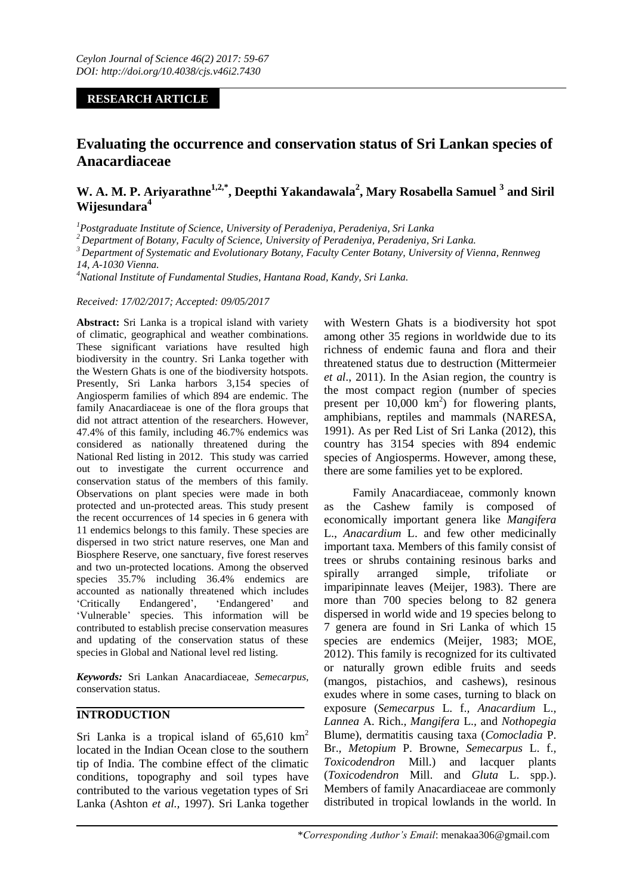## **RESEARCH ARTICLE**

# **Evaluating the occurrence and conservation status of Sri Lankan species of Anacardiaceae**

## **W. A. M. P. Ariyarathne1,2,\*, Deepthi Yakandawala<sup>2</sup> , Mary Rosabella Samuel <sup>3</sup> and Siril Wijesundara<sup>4</sup>**

*<sup>1</sup>Postgraduate Institute of Science, University of Peradeniya, Peradeniya, Sri Lanka* 

*<sup>2</sup>Department of Botany, Faculty of Science, University of Peradeniya, Peradeniya, Sri Lanka.*

*<sup>3</sup>Department of Systematic and Evolutionary Botany, Faculty Center Botany, University of Vienna, Rennweg 14, A-1030 Vienna.*

*<sup>4</sup>National Institute of Fundamental Studies, Hantana Road, Kandy, Sri Lanka.* 

*Received: 17/02/2017; Accepted: 09/05/2017*

**Abstract:** Sri Lanka is a tropical island with variety of climatic, geographical and weather combinations. These significant variations have resulted high biodiversity in the country. Sri Lanka together with the Western Ghats is one of the biodiversity hotspots. Presently, Sri Lanka harbors 3,154 species of Angiosperm families of which 894 are endemic. The family Anacardiaceae is one of the flora groups that did not attract attention of the researchers. However, 47.4% of this family, including 46.7% endemics was considered as nationally threatened during the National Red listing in 2012. This study was carried out to investigate the current occurrence and conservation status of the members of this family. Observations on plant species were made in both protected and un-protected areas. This study present the recent occurrences of 14 species in 6 genera with 11 endemics belongs to this family. These species are dispersed in two strict nature reserves, one Man and Biosphere Reserve, one sanctuary, five forest reserves and two un-protected locations. Among the observed species 35.7% including 36.4% endemics are accounted as nationally threatened which includes 'Critically Endangered', 'Endangered' and 'Vulnerable' species. This information will be contributed to establish precise conservation measures and updating of the conservation status of these species in Global and National level red listing.

*Keywords:* Sri Lankan Anacardiaceae, *Semecarpus*, conservation status.

### **INTRODUCTION**

Sri Lanka is a tropical island of  $65,610 \text{ km}^2$ located in the Indian Ocean close to the southern tip of India. The combine effect of the climatic conditions, topography and soil types have contributed to the various vegetation types of Sri Lanka (Ashton *et al.,* 1997). Sri Lanka together

with Western Ghats is a biodiversity hot spot among other 35 regions in worldwide due to its richness of endemic fauna and flora and their threatened status due to destruction (Mittermeier *et al*., 2011). In the Asian region, the country is the most compact region (number of species present per  $10,000 \text{ km}^2$  for flowering plants, amphibians, reptiles and mammals (NARESA, 1991). As per Red List of Sri Lanka (2012), this country has 3154 species with 894 endemic species of Angiosperms. However, among these, there are some families yet to be explored.

Family Anacardiaceae, commonly known as the Cashew family is composed of economically important genera like *Mangifera*  L., *Anacardium* L. and few other medicinally important taxa. Members of this family consist of trees or shrubs containing resinous barks and spirally arranged simple, trifoliate or imparipinnate leaves (Meijer, 1983). There are more than 700 species belong to 82 genera dispersed in world wide and 19 species belong to 7 genera are found in Sri Lanka of which 15 species are endemics (Meijer, 1983; MOE, 2012). This family is recognized for its cultivated or naturally grown edible fruits and seeds (mangos, pistachios, and cashews), resinous exudes where in some cases, turning to black on exposure (*Semecarpus* L. f.*, Anacardium* L.*, Lannea* A. Rich.*, Mangifera* L.*,* and *Nothopegia*  Blume), dermatitis causing taxa (*Comocladia* P. Br.*, Metopium* P. Browne*, Semecarpus* L. f.*, Toxicodendron* Mill.) and lacquer plants (*Toxicodendron* Mill. and *Gluta* L. spp.). Members of family Anacardiaceae are commonly distributed in tropical lowlands in the world. In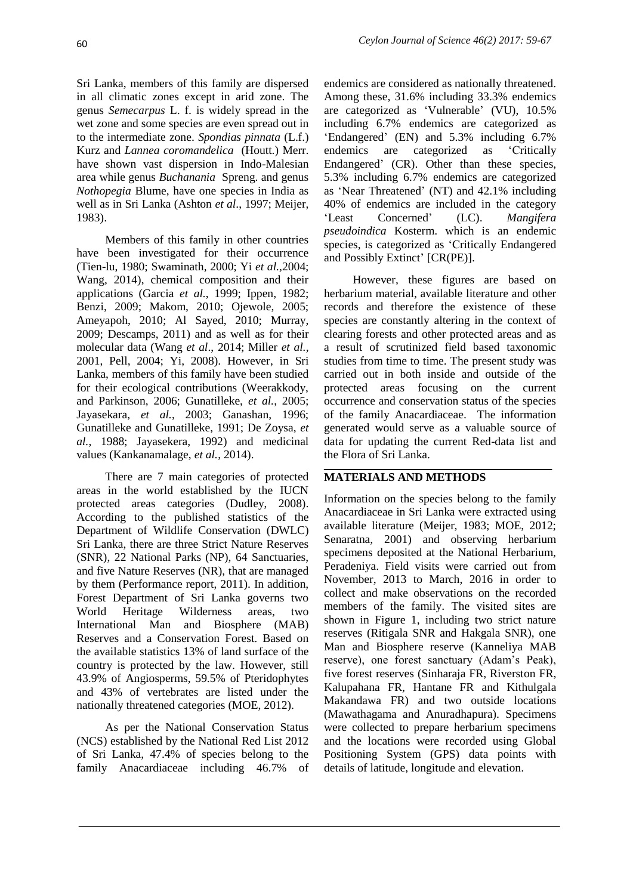Sri Lanka, members of this family are dispersed in all climatic zones except in arid zone. The genus *Semecarpus* L. f. is widely spread in the wet zone and some species are even spread out in to the intermediate zone. *Spondias pinnata* (L.f.) Kurz and *Lannea coromandelica* (Houtt.) Merr. have shown vast dispersion in Indo-Malesian area while genus *Buchanania* Spreng. and genus *Nothopegia* Blume, have one species in India as well as in Sri Lanka (Ashton *et al*., 1997; Meijer, 1983).

Members of this family in other countries have been investigated for their occurrence (Tien-lu, 1980; Swaminath, 2000; Yi *et al.,*2004; Wang, 2014), chemical composition and their applications (Garcia *et al.*, 1999; Ippen, 1982; Benzi, 2009; Makom, 2010; Ojewole, 2005; Ameyapoh, 2010; Al Sayed, 2010; Murray, 2009; Descamps, 2011) and as well as for their molecular data (Wang *et al*., 2014; Miller *et al.*, 2001, Pell, 2004; Yi, 2008). However, in Sri Lanka, members of this family have been studied for their ecological contributions (Weerakkody, and Parkinson, 2006; Gunatilleke, *et al.*, 2005; Jayasekara, *et al.*, 2003; Ganashan, 1996; Gunatilleke and Gunatilleke, 1991; De Zoysa, *et al.*, 1988; Jayasekera, 1992) and medicinal values (Kankanamalage, *et al.*, 2014).

There are 7 main categories of protected areas in the world established by the IUCN protected areas categories (Dudley, 2008). According to the published statistics of the Department of Wildlife Conservation (DWLC) Sri Lanka, there are three Strict Nature Reserves (SNR), 22 National Parks (NP), 64 Sanctuaries, and five Nature Reserves (NR), that are managed by them (Performance report, 2011). In addition, Forest Department of Sri Lanka governs two World Heritage Wilderness areas, two International Man and Biosphere (MAB) Reserves and a Conservation Forest. Based on the available statistics 13% of land surface of the country is protected by the law. However, still 43.9% of Angiosperms, 59.5% of Pteridophytes and 43% of vertebrates are listed under the nationally threatened categories (MOE, 2012).

As per the National Conservation Status (NCS) established by the National Red List 2012 of Sri Lanka, 47.4% of species belong to the family Anacardiaceae including 46.7% of endemics are considered as nationally threatened. Among these, 31.6% including 33.3% endemics are categorized as 'Vulnerable' (VU), 10.5% including 6.7% endemics are categorized as 'Endangered' (EN) and 5.3% including 6.7% endemics are categorized as 'Critically Endangered' (CR). Other than these species, 5.3% including 6.7% endemics are categorized as 'Near Threatened' (NT) and 42.1% including 40% of endemics are included in the category 'Least Concerned' (LC). *Mangifera pseudoindica* Kosterm. which is an endemic species, is categorized as 'Critically Endangered and Possibly Extinct' [CR(PE)].

However, these figures are based on herbarium material, available literature and other records and therefore the existence of these species are constantly altering in the context of clearing forests and other protected areas and as a result of scrutinized field based taxonomic studies from time to time. The present study was carried out in both inside and outside of the protected areas focusing on the current occurrence and conservation status of the species of the family Anacardiaceae. The information generated would serve as a valuable source of data for updating the current Red-data list and the Flora of Sri Lanka.

### **MATERIALS AND METHODS**

Information on the species belong to the family Anacardiaceae in Sri Lanka were extracted using available literature (Meijer, 1983; MOE, 2012; Senaratna, 2001) and observing herbarium specimens deposited at the National Herbarium, Peradeniya. Field visits were carried out from November, 2013 to March, 2016 in order to collect and make observations on the recorded members of the family. The visited sites are shown in Figure 1, including two strict nature reserves (Ritigala SNR and Hakgala SNR), one Man and Biosphere reserve (Kanneliya MAB reserve), one forest sanctuary (Adam's Peak), five forest reserves (Sinharaja FR, Riverston FR, Kalupahana FR, Hantane FR and Kithulgala Makandawa FR) and two outside locations (Mawathagama and Anuradhapura). Specimens were collected to prepare herbarium specimens and the locations were recorded using Global Positioning System (GPS) data points with details of latitude, longitude and elevation.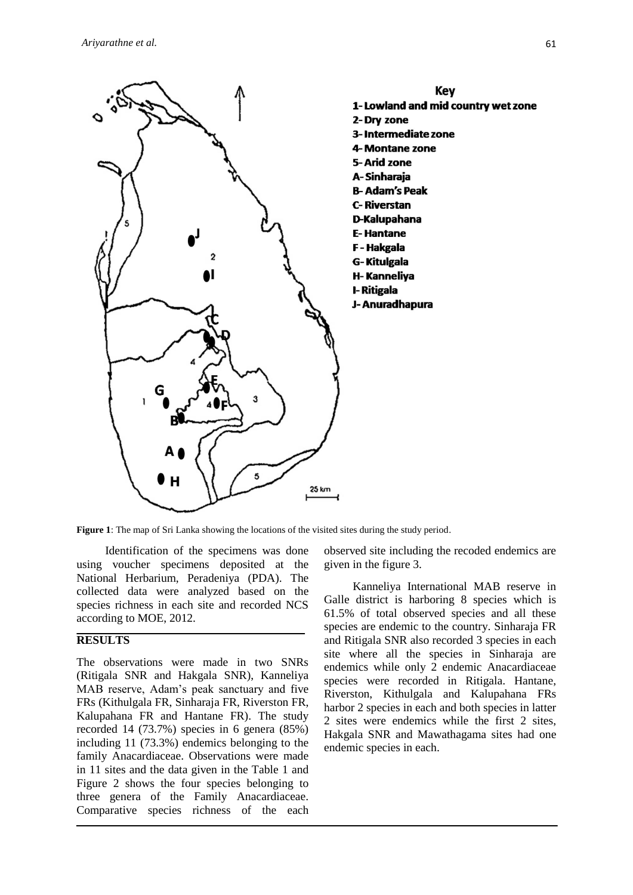

**Figure 1**: The map of Sri Lanka showing the locations of the visited sites during the study period.

Identification of the specimens was done using voucher specimens deposited at the National Herbarium, Peradeniya (PDA). The collected data were analyzed based on the species richness in each site and recorded NCS according to MOE, 2012.

## **RESULTS**

The observations were made in two SNRs (Ritigala SNR and Hakgala SNR), Kanneliya MAB reserve, Adam's peak sanctuary and five FRs (Kithulgala FR, Sinharaja FR, Riverston FR, Kalupahana FR and Hantane FR). The study recorded 14 (73.7%) species in 6 genera (85%) including 11 (73.3%) endemics belonging to the family Anacardiaceae. Observations were made in 11 sites and the data given in the Table 1 and Figure 2 shows the four species belonging to three genera of the Family Anacardiaceae. Comparative species richness of the each

observed site including the recoded endemics are given in the figure 3.

Kanneliya International MAB reserve in Galle district is harboring 8 species which is 61.5% of total observed species and all these species are endemic to the country. Sinharaja FR and Ritigala SNR also recorded 3 species in each site where all the species in Sinharaja are endemics while only 2 endemic Anacardiaceae species were recorded in Ritigala. Hantane, Riverston, Kithulgala and Kalupahana FRs harbor 2 species in each and both species in latter 2 sites were endemics while the first 2 sites, Hakgala SNR and Mawathagama sites had one endemic species in each.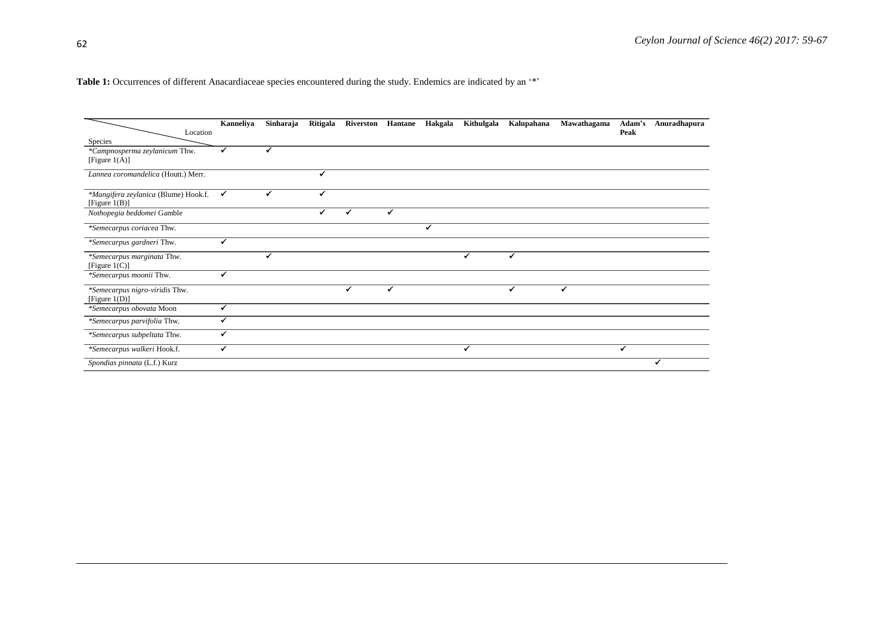Table 1: Occurrences of different Anacardiaceae species encountered during the study. Endemics are indicated by an '\*'

|                                                          | Kanneliya                | Sinharaja | Ritigala | Riverston Hantane |   | Hakgala | Kithulgala | Kalupahana | Mawathagama | Adam's | Anuradhapura |
|----------------------------------------------------------|--------------------------|-----------|----------|-------------------|---|---------|------------|------------|-------------|--------|--------------|
| Location                                                 |                          |           |          |                   |   |         |            |            |             | Peak   |              |
| Species                                                  |                          |           |          |                   |   |         |            |            |             |        |              |
| *Campnosperma zeylanicum Thw.<br>[Figure $1(A)$ ]        |                          |           |          |                   |   |         |            |            |             |        |              |
| Lannea coromandelica (Houtt.) Merr.                      |                          |           | ✔        |                   |   |         |            |            |             |        |              |
| *Mangifera zeylanica (Blume) Hook.f.<br>[Figure $1(B)$ ] |                          |           | ✓        |                   |   |         |            |            |             |        |              |
| Nothopegia beddomei Gamble                               |                          |           | ✔        | ✔                 | ✔ |         |            |            |             |        |              |
| *Semecarpus coriacea Thw.                                |                          |           |          |                   |   | ✔       |            |            |             |        |              |
| *Semecarpus gardneri Thw.                                | $\checkmark$             |           |          |                   |   |         |            |            |             |        |              |
| *Semecarpus marginata Thw.<br>[Figure $1(C)$ ]           |                          | ✔         |          |                   |   |         |            | ✔          |             |        |              |
| *Semecarpus moonii Thw.                                  | $\overline{\phantom{a}}$ |           |          |                   |   |         |            |            |             |        |              |
| *Semecarpus nigro-viridis Thw.<br>[Figure $1(D)$ ]       |                          |           |          | ✔                 | ✔ |         |            | ✔          | ✔           |        |              |
| *Semecarpus obovata Moon                                 | ✓                        |           |          |                   |   |         |            |            |             |        |              |
| *Semecarpus parvifolia Thw.                              |                          |           |          |                   |   |         |            |            |             |        |              |
| *Semecarpus subpeltata Thw.                              |                          |           |          |                   |   |         |            |            |             |        |              |
| *Semecarpus walkeri Hook.f.                              |                          |           |          |                   |   |         | ✓          |            |             | ✔      |              |
| Spondias pinnata (L.f.) Kurz                             |                          |           |          |                   |   |         |            |            |             |        | ✓            |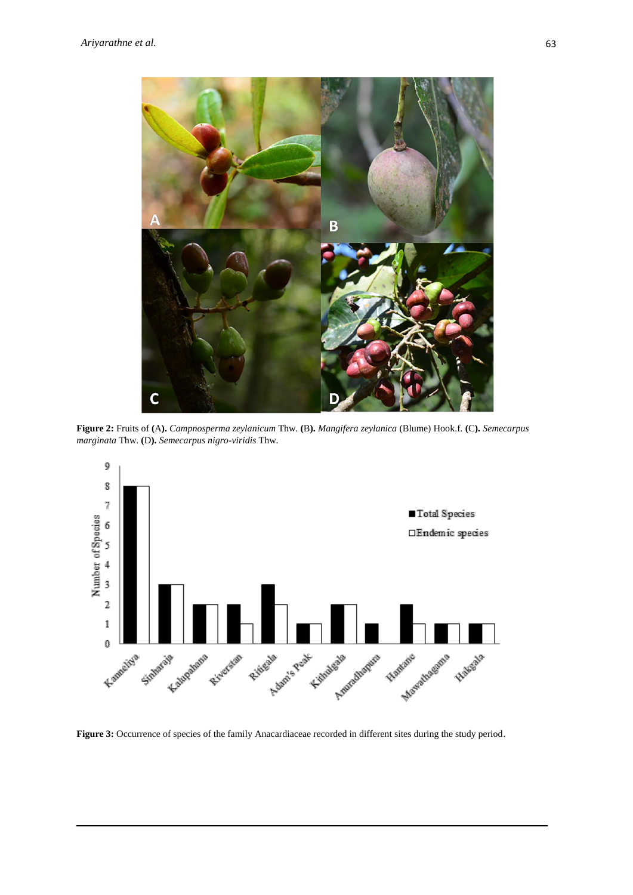

**Figure 2:** Fruits of **(**A**).** *Campnosperma zeylanicum* Thw. **(**B**).** *Mangifera zeylanica* (Blume) Hook.f. **(**C**).** *Semecarpus marginata* Thw. **(**D**).** *Semecarpus nigro-viridis* Thw.



**Figure 3:** Occurrence of species of the family Anacardiaceae recorded in different sites during the study period.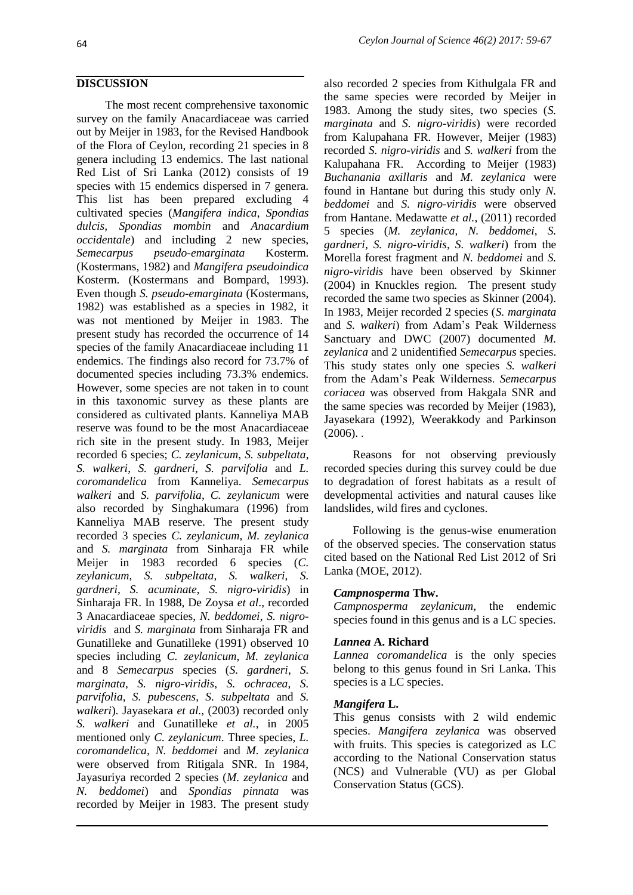### **DISCUSSION**

The most recent comprehensive taxonomic survey on the family Anacardiaceae was carried out by Meijer in 1983, for the Revised Handbook of the Flora of Ceylon, recording 21 species in 8 genera including 13 endemics. The last national Red List of Sri Lanka (2012) consists of 19 species with 15 endemics dispersed in 7 genera. This list has been prepared excluding 4 cultivated species (*Mangifera indica*, *Spondias dulcis*, *Spondias mombin* and *Anacardium occidentale*) and including 2 new species, *Semecarpus pseudo-emarginata* Kosterm. (Kostermans, 1982) and *Mangifera pseudoindica* Kosterm. (Kostermans and Bompard, 1993). Even though *S. pseudo-emarginata* (Kostermans, 1982) was established as a species in 1982, it was not mentioned by Meijer in 1983. The present study has recorded the occurrence of 14 species of the family Anacardiaceae including 11 endemics. The findings also record for 73.7% of documented species including 73.3% endemics. However, some species are not taken in to count in this taxonomic survey as these plants are considered as cultivated plants. Kanneliya MAB reserve was found to be the most Anacardiaceae rich site in the present study. In 1983, Meijer recorded 6 species; *C. zeylanicum*, *S. subpeltata*, *S. walkeri*, *S. gardneri*, *S. parvifolia* and *L. coromandelica* from Kanneliya. *Semecarpus walkeri* and *S. parvifolia*, *C. zeylanicum* were also recorded by Singhakumara (1996) from Kanneliya MAB reserve. The present study recorded 3 species *C. zeylanicum*, *M. zeylanica* and *S. marginata* from Sinharaja FR while Meijer in 1983 recorded 6 species (*C. zeylanicum*, *S. subpeltata*, *S. walkeri*, *S. gardneri*, *S. acuminate*, *S. nigro-viridis*) in Sinharaja FR. In 1988, De Zoysa *et al*., recorded 3 Anacardiaceae species, *N. beddomei*, *S. nigroviridis* and *S. marginata* from Sinharaja FR and Gunatilleke and Gunatilleke (1991) observed 10 species including *C. zeylanicum*, *M. zeylanica* and 8 *Semecarpus* species (*S. gardneri*, *S. marginata*, *S. nigro-viridis*, *S. ochracea*, *S. parvifolia*, *S. pubescens*, *S. subpeltata* and *S. walkeri*). Jayasekara *et al.*, (2003) recorded only *S. walkeri* and Gunatilleke *et al.*, in 2005 mentioned only *C. zeylanicum*. Three species, *L. coromandelica*, *N. beddomei* and *M. zeylanica* were observed from Ritigala SNR. In 1984, Jayasuriya recorded 2 species (*M. zeylanica* and *N. beddomei*) and *Spondias pinnata* was recorded by Meijer in 1983. The present study

also recorded 2 species from Kithulgala FR and the same species were recorded by Meijer in 1983. Among the study sites, two species (*S. marginata* and *S. nigro-viridis*) were recorded from Kalupahana FR. However, Meijer (1983) recorded *S. nigro-viridis* and *S. walkeri* from the Kalupahana FR. According to Meijer (1983) *Buchanania axillaris* and *M. zeylanica* were found in Hantane but during this study only *N. beddomei* and *S. nigro-viridis* were observed from Hantane. Medawatte *et al.*, (2011) recorded 5 species (*M. zeylanica*, *N. beddomei*, *S. gardneri*, *S. nigro-viridis*, *S. walkeri*) from the Morella forest fragment and *N. beddomei* and *S. nigro-viridis* have been observed by Skinner (2004) in Knuckles region*.* The present study recorded the same two species as Skinner (2004). In 1983, Meijer recorded 2 species (*S. marginata* and *S. walkeri*) from Adam's Peak Wilderness Sanctuary and DWC (2007) documented *M. zeylanica* and 2 unidentified *Semecarpus* species. This study states only one species *S. walkeri* from the Adam's Peak Wilderness. *Semecarpus coriacea* was observed from Hakgala SNR and the same species was recorded by Meijer (1983), Jayasekara (1992), Weerakkody and Parkinson  $(2006)$ .

Reasons for not observing previously recorded species during this survey could be due to degradation of forest habitats as a result of developmental activities and natural causes like landslides, wild fires and cyclones.

Following is the genus-wise enumeration of the observed species. The conservation status cited based on the National Red List 2012 of Sri Lanka (MOE, 2012).

### *Campnosperma* **Thw.**

*Campnosperma zeylanicum*, the endemic species found in this genus and is a LC species.

#### *Lannea* **A. Richard**

*Lannea coromandelica* is the only species belong to this genus found in Sri Lanka. This species is a LC species.

### *Mangifera* **L.**

This genus consists with 2 wild endemic species. *Mangifera zeylanica* was observed with fruits. This species is categorized as LC according to the National Conservation status (NCS) and Vulnerable (VU) as per Global Conservation Status (GCS).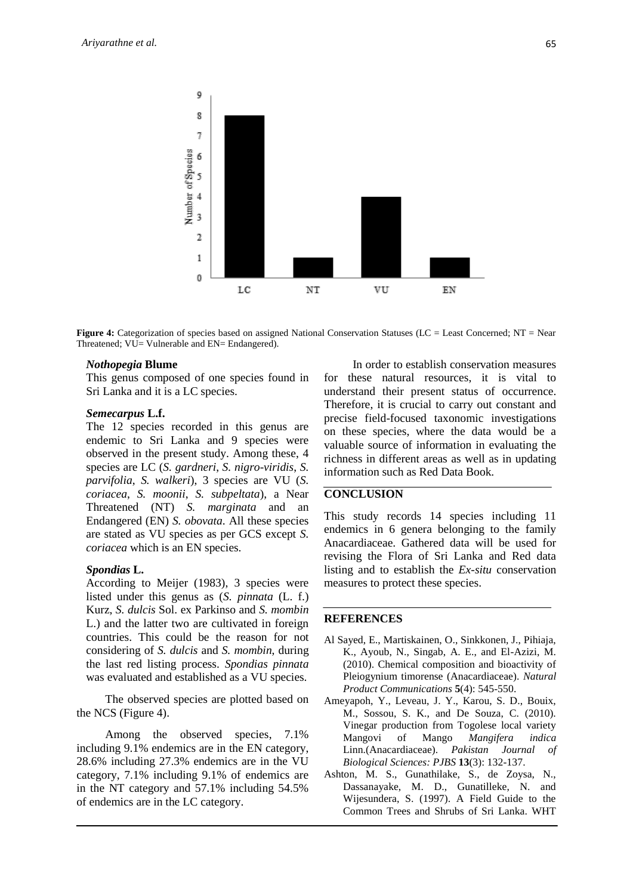

**Figure 4:** Categorization of species based on assigned National Conservation Statuses (LC = Least Concerned; NT = Near Threatened; VU= Vulnerable and EN= Endangered).

#### *Nothopegia* **Blume**

This genus composed of one species found in Sri Lanka and it is a LC species.

#### *Semecarpus* **L.f.**

The 12 species recorded in this genus are endemic to Sri Lanka and 9 species were observed in the present study. Among these, 4 species are LC (*S. gardneri*, *S. nigro-viridis*, *S. parvifolia*, *S. walkeri*), 3 species are VU (*S. coriacea*, *S. moonii*, *S. subpeltata*), a Near Threatened (NT) *S. marginata* and an Endangered (EN) *S. obovata*. All these species are stated as VU species as per GCS except *S. coriacea* which is an EN species.

#### *Spondias* **L.**

According to Meijer (1983), 3 species were listed under this genus as (*S. pinnata* (L. f.) Kurz, *S. dulcis* Sol. ex Parkinso and *S. mombin* L.) and the latter two are cultivated in foreign countries. This could be the reason for not considering of *S. dulcis* and *S. mombin*, during the last red listing process. *Spondias pinnata* was evaluated and established as a VU species.

The observed species are plotted based on the NCS (Figure 4).

Among the observed species, 7.1% including 9.1% endemics are in the EN category, 28.6% including 27.3% endemics are in the VU category, 7.1% including 9.1% of endemics are in the NT category and 57.1% including 54.5% of endemics are in the LC category.

In order to establish conservation measures for these natural resources, it is vital to understand their present status of occurrence. Therefore, it is crucial to carry out constant and precise field-focused taxonomic investigations on these species, where the data would be a valuable source of information in evaluating the richness in different areas as well as in updating information such as Red Data Book.

## **CONCLUSION**

This study records 14 species including 11 endemics in 6 genera belonging to the family Anacardiaceae. Gathered data will be used for revising the Flora of Sri Lanka and Red data listing and to establish the *Ex-situ* conservation measures to protect these species.

#### **REFERENCES**

- Al Sayed, E., Martiskainen, O., Sinkkonen, J., Pihiaja, K., Ayoub, N., Singab, A. E., and El-Azizi, M. (2010). Chemical composition and bioactivity of Pleiogynium timorense (Anacardiaceae). *Natural Product Communications* **5**(4): 545-550.
- Ameyapoh, Y., Leveau, J. Y., Karou, S. D., Bouix, M., Sossou, S. K., and De Souza, C. (2010). Vinegar production from Togolese local variety Mangovi of Mango *Mangifera indica* Linn.(Anacardiaceae). *Pakistan Journal of Biological Sciences: PJBS* **13**(3): 132-137.
- Ashton, M. S., Gunathilake, S., de Zoysa, N., Dassanayake, M. D., Gunatilleke, N. and Wijesundera, S. (1997). A Field Guide to the Common Trees and Shrubs of Sri Lanka. WHT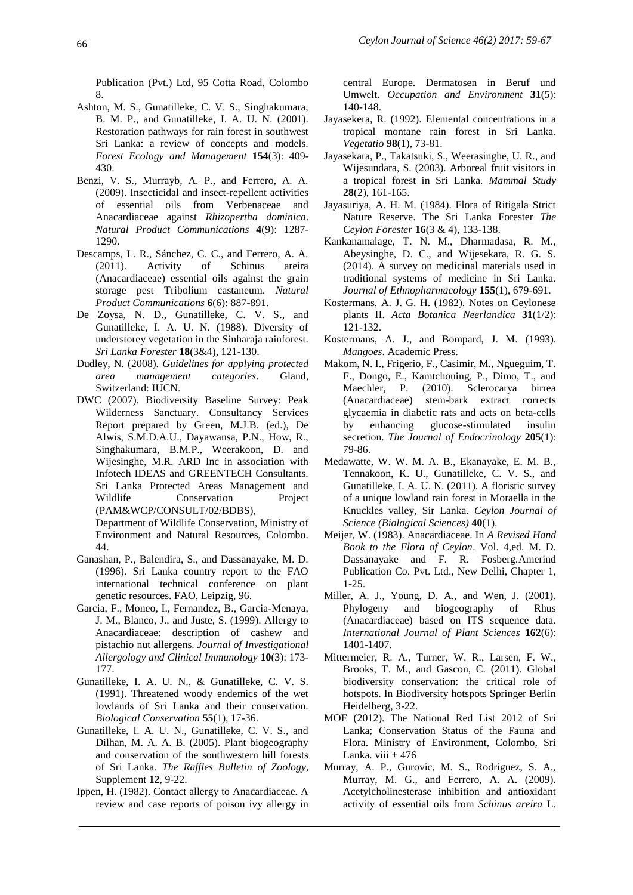Publication (Pvt.) Ltd, 95 Cotta Road, Colombo 8.

- Ashton, M. S., Gunatilleke, C. V. S., Singhakumara, B. M. P., and Gunatilleke, I. A. U. N. (2001). Restoration pathways for rain forest in southwest Sri Lanka: a review of concepts and models. *Forest Ecology and Management* **154**(3): 409- 430.
- Benzi, V. S., Murrayb, A. P., and Ferrero, A. A. (2009). Insecticidal and insect-repellent activities of essential oils from Verbenaceae and Anacardiaceae against *Rhizopertha dominica*. *Natural Product Communications* **4**(9): 1287- 1290.
- Descamps, L. R., Sánchez, C. C., and Ferrero, A. A. (2011). Activity of Schinus areira (Anacardiaceae) essential oils against the grain storage pest Tribolium castaneum. *Natural Product Communications* **6**(6): 887-891.
- De Zoysa, N. D., Gunatilleke, C. V. S., and Gunatilleke, I. A. U. N. (1988). Diversity of understorey vegetation in the Sinharaja rainforest. *Sri Lanka Forester* **18**(3&4), 121-130.
- Dudley, N. (2008). *Guidelines for applying protected area management categories*. Gland, Switzerland: IUCN.
- DWC (2007). Biodiversity Baseline Survey: Peak Wilderness Sanctuary. Consultancy Services Report prepared by Green, M.J.B. (ed.), De Alwis, S.M.D.A.U., Dayawansa, P.N., How, R., Singhakumara, B.M.P., Weerakoon, D. and Wijesinghe, M.R. ARD Inc in association with Infotech IDEAS and GREENTECH Consultants. Sri Lanka Protected Areas Management and Wildlife Conservation Project (PAM&WCP/CONSULT/02/BDBS),

Department of Wildlife Conservation, Ministry of Environment and Natural Resources, Colombo. 44.

- Ganashan, P., Balendira, S., and Dassanayake, M. D. (1996). Sri Lanka country report to the FAO international technical conference on plant genetic resources. FAO, Leipzig, 96.
- Garcia, F., Moneo, I., Fernandez, B., Garcia-Menaya, J. M., Blanco, J., and Juste, S. (1999). Allergy to Anacardiaceae: description of cashew and pistachio nut allergens. *Journal of Investigational Allergology and Clinical Immunology* **10**(3): 173- 177.
- Gunatilleke, I. A. U. N., & Gunatilleke, C. V. S. (1991). Threatened woody endemics of the wet lowlands of Sri Lanka and their conservation. *Biological Conservation* **55**(1), 17-36.
- Gunatilleke, I. A. U. N., Gunatilleke, C. V. S., and Dilhan, M. A. A. B. (2005). Plant biogeography and conservation of the southwestern hill forests of Sri Lanka. *The Raffles Bulletin of Zoology*, Supplement **12**, 9-22.
- Ippen, H. (1982). Contact allergy to Anacardiaceae. A review and case reports of poison ivy allergy in

central Europe. Dermatosen in Beruf und Umwelt. *Occupation and Environment* **31**(5): 140-148.

- Jayasekera, R. (1992). Elemental concentrations in a tropical montane rain forest in Sri Lanka. *Vegetatio* **98**(1), 73-81.
- Jayasekara, P., Takatsuki, S., Weerasinghe, U. R., and Wijesundara, S. (2003). Arboreal fruit visitors in a tropical forest in Sri Lanka. *Mammal Study* **28**(2), 161-165.
- Jayasuriya, A. H. M. (1984). Flora of Ritigala Strict Nature Reserve. The Sri Lanka Forester *The Ceylon Forester* **16**(3 & 4), 133-138.
- Kankanamalage, T. N. M., Dharmadasa, R. M., Abeysinghe, D. C., and Wijesekara, R. G. S. (2014). A survey on medicinal materials used in traditional systems of medicine in Sri Lanka. *Journal of Ethnopharmacology* **155**(1), 679-691.
- Kostermans, A. J. G. H. (1982). Notes on Ceylonese plants II. *Acta Botanica Neerlandica* **31**(1/2): 121-132.
- Kostermans, A. J., and Bompard, J. M. (1993). *Mangoes*. Academic Press.
- Makom, N. I., Frigerio, F., Casimir, M., Ngueguim, T. F., Dongo, E., Kamtchouing, P., Dimo, T., and Maechler, P. (2010). Sclerocarya birrea (Anacardiaceae) stem-bark extract corrects glycaemia in diabetic rats and acts on beta-cells by enhancing glucose-stimulated insulin secretion. *The Journal of Endocrinology* **205**(1): 79-86.
- Medawatte, W. W. M. A. B., Ekanayake, E. M. B., Tennakoon, K. U., Gunatilleke, C. V. S., and Gunatilleke, I. A. U. N. (2011). A floristic survey of a unique lowland rain forest in Moraella in the Knuckles valley, Sir Lanka. *Ceylon Journal of Science (Biological Sciences)* **40**(1).
- Meijer, W. (1983). Anacardiaceae. In *A Revised Hand Book to the Flora of Ceylon*. Vol. 4,ed. M. D. Dassanayake and F. R. Fosberg*.*Amerind Publication Co. Pvt. Ltd., New Delhi, Chapter 1, 1-25.
- Miller, A. J., Young, D. A., and Wen, J. (2001). Phylogeny and biogeography of Rhus (Anacardiaceae) based on ITS sequence data. *International Journal of Plant Sciences* **162**(6): 1401-1407.
- Mittermeier, R. A., Turner, W. R., Larsen, F. W., Brooks, T. M., and Gascon, C. (2011). Global biodiversity conservation: the critical role of hotspots. In Biodiversity hotspots Springer Berlin Heidelberg, 3-22.
- MOE (2012). The National Red List 2012 of Sri Lanka; Conservation Status of the Fauna and Flora. Ministry of Environment, Colombo, Sri Lanka. viii  $+476$
- Murray, A. P., Gurovic, M. S., Rodriguez, S. A., Murray, M. G., and Ferrero, A. A. (2009). Acetylcholinesterase inhibition and antioxidant activity of essential oils from *Schinus areira* L.